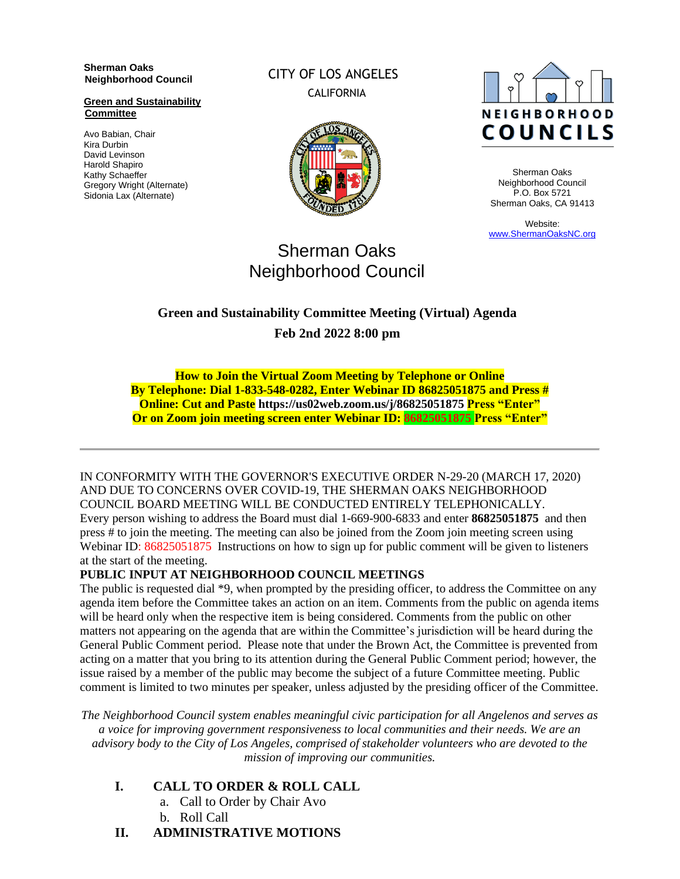**Sherman Oaks Neighborhood Council** 

**Green and Sustainability Committee**

Avo Babian, Chair Kira Durbin David Levinson Harold Shapiro Kathy Schaeffer Gregory Wright (Alternate) Sidonia Lax (Alternate)

CITY OF LOS ANGELES CALIFORNIA





Sherman Oaks Neighborhood Council P.O. Box 5721 Sherman Oaks, CA 91413

Website: [www.ShermanOaksNC.org](http://www.shermanoaksnc.org/)

# Sherman Oaks Neighborhood Council

## **Green and Sustainability Committee Meeting (Virtual) Agenda Feb 2nd 2022 8:00 pm**

**How to Join the Virtual Zoom Meeting by Telephone or Online By Telephone: Dial 1-833-548-0282, Enter Webinar ID 86825051875 and Press # Online: Cut and Paste https://us02web.zoom.us/j/86825051875 Press "Enter" Or on Zoom join meeting screen enter Webinar ID: 86825051875 Press "Enter"**

IN CONFORMITY WITH THE GOVERNOR'S EXECUTIVE ORDER N-29-20 (MARCH 17, 2020) AND DUE TO CONCERNS OVER COVID-19, THE SHERMAN OAKS NEIGHBORHOOD COUNCIL BOARD MEETING WILL BE CONDUCTED ENTIRELY TELEPHONICALLY. Every person wishing to address the Board must dial 1-669-900-6833 and enter **86825051875** and then press # to join the meeting. The meeting can also be joined from the Zoom join meeting screen using Webinar ID: 86825051875 Instructions on how to sign up for public comment will be given to listeners at the start of the meeting.

#### **PUBLIC INPUT AT NEIGHBORHOOD COUNCIL MEETINGS**

The public is requested dial \*9, when prompted by the presiding officer, to address the Committee on any agenda item before the Committee takes an action on an item. Comments from the public on agenda items will be heard only when the respective item is being considered. Comments from the public on other matters not appearing on the agenda that are within the Committee's jurisdiction will be heard during the General Public Comment period. Please note that under the Brown Act, the Committee is prevented from acting on a matter that you bring to its attention during the General Public Comment period; however, the issue raised by a member of the public may become the subject of a future Committee meeting. Public comment is limited to two minutes per speaker, unless adjusted by the presiding officer of the Committee.

*The Neighborhood Council system enables meaningful civic participation for all Angelenos and serves as a voice for improving government responsiveness to local communities and their needs. We are an advisory body to the City of Los Angeles, comprised of stakeholder volunteers who are devoted to the mission of improving our communities.*

- **I. CALL TO ORDER & ROLL CALL**
	- a. Call to Order by Chair Avo
	- b. Roll Call
- **II. ADMINISTRATIVE MOTIONS**